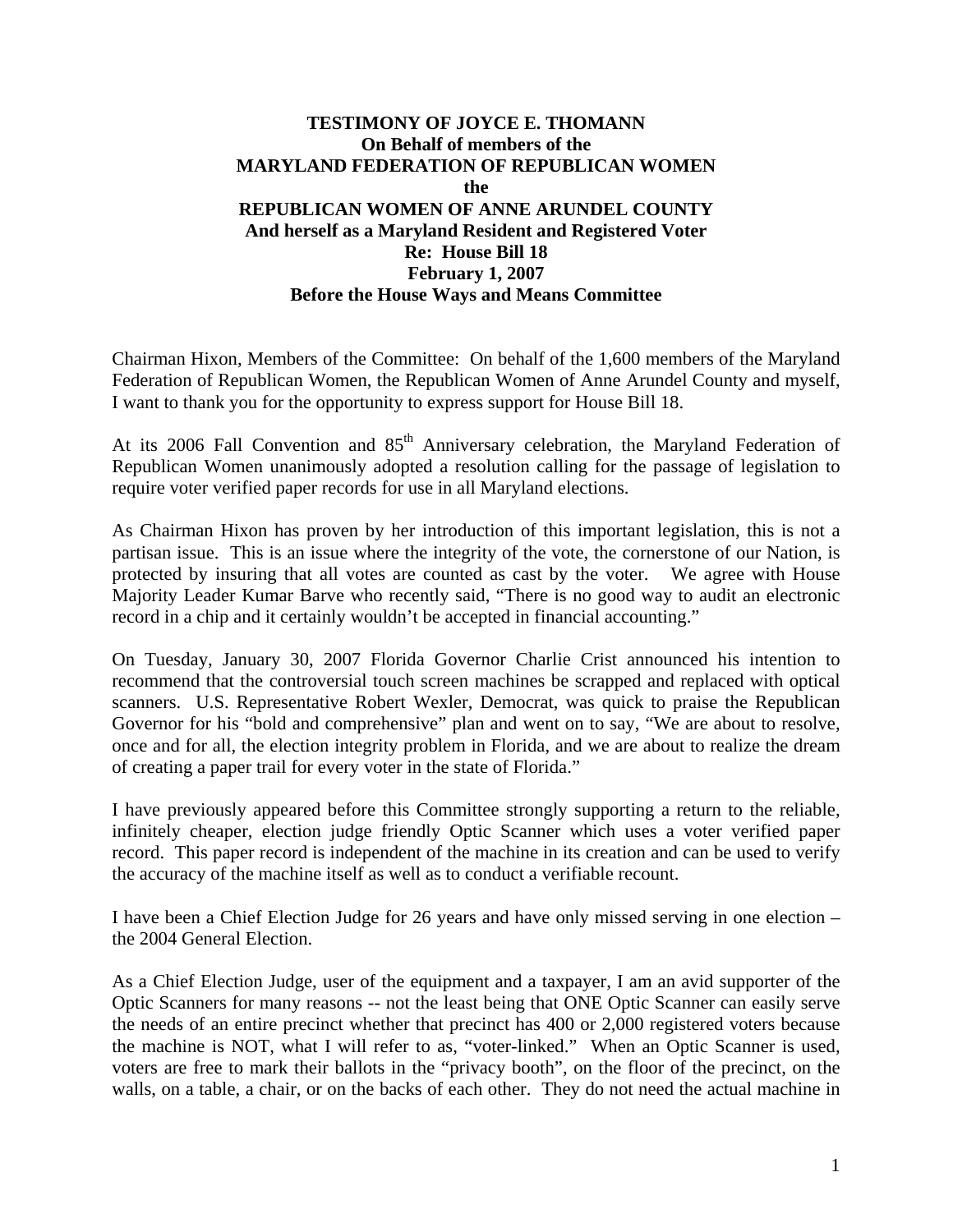## **TESTIMONY OF JOYCE E. THOMANN On Behalf of members of the MARYLAND FEDERATION OF REPUBLICAN WOMEN the REPUBLICAN WOMEN OF ANNE ARUNDEL COUNTY And herself as a Maryland Resident and Registered Voter Re: House Bill 18 February 1, 2007 Before the House Ways and Means Committee**

Chairman Hixon, Members of the Committee: On behalf of the 1,600 members of the Maryland Federation of Republican Women, the Republican Women of Anne Arundel County and myself, I want to thank you for the opportunity to express support for House Bill 18.

At its 2006 Fall Convention and 85<sup>th</sup> Anniversary celebration, the Maryland Federation of Republican Women unanimously adopted a resolution calling for the passage of legislation to require voter verified paper records for use in all Maryland elections.

As Chairman Hixon has proven by her introduction of this important legislation, this is not a partisan issue. This is an issue where the integrity of the vote, the cornerstone of our Nation, is protected by insuring that all votes are counted as cast by the voter. We agree with House Majority Leader Kumar Barve who recently said, "There is no good way to audit an electronic record in a chip and it certainly wouldn't be accepted in financial accounting."

On Tuesday, January 30, 2007 Florida Governor Charlie Crist announced his intention to recommend that the controversial touch screen machines be scrapped and replaced with optical scanners. U.S. Representative Robert Wexler, Democrat, was quick to praise the Republican Governor for his "bold and comprehensive" plan and went on to say, "We are about to resolve, once and for all, the election integrity problem in Florida, and we are about to realize the dream of creating a paper trail for every voter in the state of Florida."

I have previously appeared before this Committee strongly supporting a return to the reliable, infinitely cheaper, election judge friendly Optic Scanner which uses a voter verified paper record. This paper record is independent of the machine in its creation and can be used to verify the accuracy of the machine itself as well as to conduct a verifiable recount.

I have been a Chief Election Judge for 26 years and have only missed serving in one election – the 2004 General Election.

As a Chief Election Judge, user of the equipment and a taxpayer, I am an avid supporter of the Optic Scanners for many reasons -- not the least being that ONE Optic Scanner can easily serve the needs of an entire precinct whether that precinct has 400 or 2,000 registered voters because the machine is NOT, what I will refer to as, "voter-linked." When an Optic Scanner is used, voters are free to mark their ballots in the "privacy booth", on the floor of the precinct, on the walls, on a table, a chair, or on the backs of each other. They do not need the actual machine in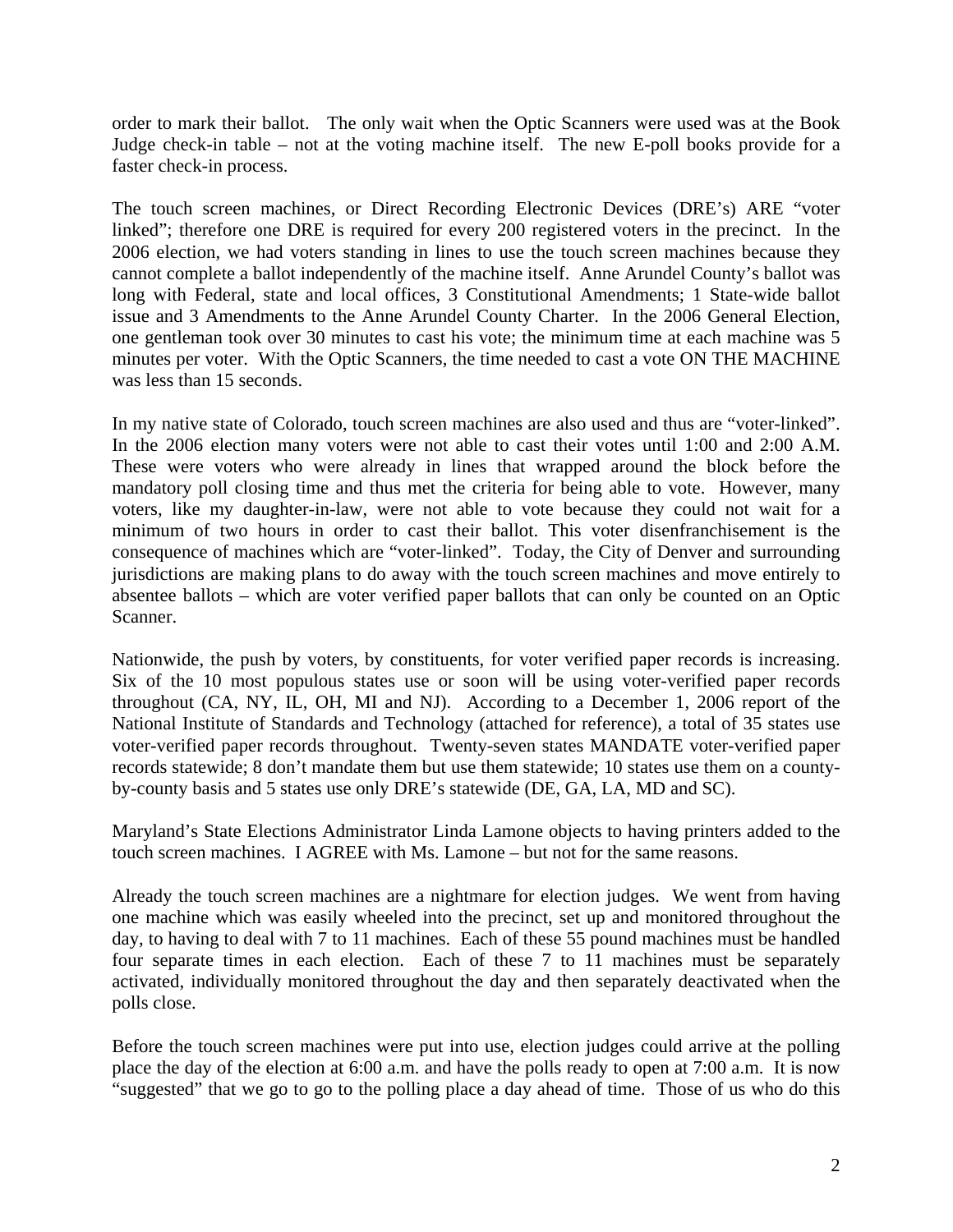order to mark their ballot. The only wait when the Optic Scanners were used was at the Book Judge check-in table – not at the voting machine itself. The new E-poll books provide for a faster check-in process.

The touch screen machines, or Direct Recording Electronic Devices (DRE's) ARE "voter linked"; therefore one DRE is required for every 200 registered voters in the precinct. In the 2006 election, we had voters standing in lines to use the touch screen machines because they cannot complete a ballot independently of the machine itself. Anne Arundel County's ballot was long with Federal, state and local offices, 3 Constitutional Amendments; 1 State-wide ballot issue and 3 Amendments to the Anne Arundel County Charter. In the 2006 General Election, one gentleman took over 30 minutes to cast his vote; the minimum time at each machine was 5 minutes per voter. With the Optic Scanners, the time needed to cast a vote ON THE MACHINE was less than 15 seconds.

In my native state of Colorado, touch screen machines are also used and thus are "voter-linked". In the 2006 election many voters were not able to cast their votes until 1:00 and 2:00 A.M. These were voters who were already in lines that wrapped around the block before the mandatory poll closing time and thus met the criteria for being able to vote. However, many voters, like my daughter-in-law, were not able to vote because they could not wait for a minimum of two hours in order to cast their ballot. This voter disenfranchisement is the consequence of machines which are "voter-linked". Today, the City of Denver and surrounding jurisdictions are making plans to do away with the touch screen machines and move entirely to absentee ballots – which are voter verified paper ballots that can only be counted on an Optic Scanner.

Nationwide, the push by voters, by constituents, for voter verified paper records is increasing. Six of the 10 most populous states use or soon will be using voter-verified paper records throughout (CA, NY, IL, OH, MI and NJ). According to a December 1, 2006 report of the National Institute of Standards and Technology (attached for reference), a total of 35 states use voter-verified paper records throughout. Twenty-seven states MANDATE voter-verified paper records statewide; 8 don't mandate them but use them statewide; 10 states use them on a countyby-county basis and 5 states use only DRE's statewide (DE, GA, LA, MD and SC).

Maryland's State Elections Administrator Linda Lamone objects to having printers added to the touch screen machines. I AGREE with Ms. Lamone – but not for the same reasons.

Already the touch screen machines are a nightmare for election judges. We went from having one machine which was easily wheeled into the precinct, set up and monitored throughout the day, to having to deal with 7 to 11 machines. Each of these 55 pound machines must be handled four separate times in each election. Each of these 7 to 11 machines must be separately activated, individually monitored throughout the day and then separately deactivated when the polls close.

Before the touch screen machines were put into use, election judges could arrive at the polling place the day of the election at 6:00 a.m. and have the polls ready to open at 7:00 a.m. It is now "suggested" that we go to go to the polling place a day ahead of time. Those of us who do this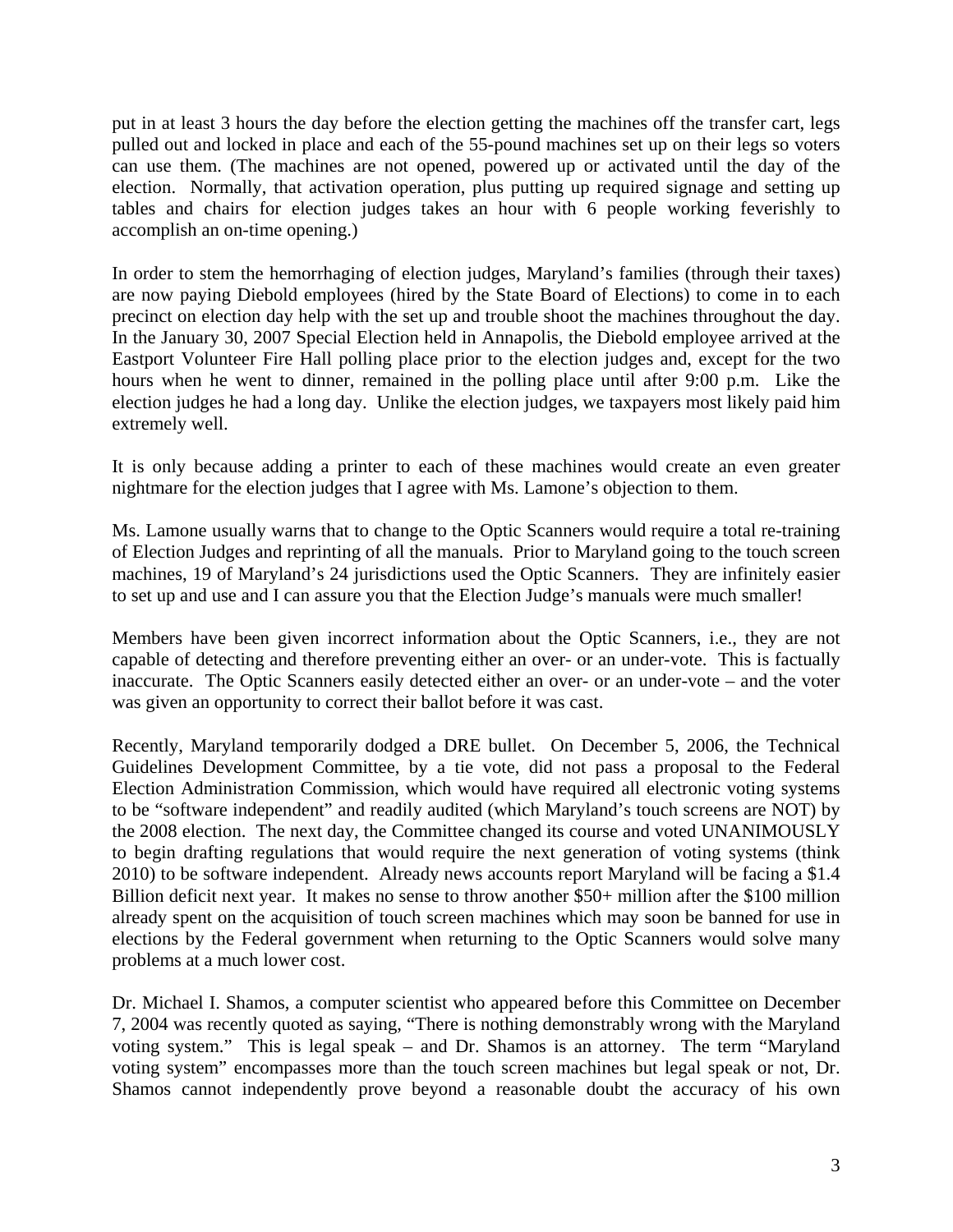put in at least 3 hours the day before the election getting the machines off the transfer cart, legs pulled out and locked in place and each of the 55-pound machines set up on their legs so voters can use them. (The machines are not opened, powered up or activated until the day of the election. Normally, that activation operation, plus putting up required signage and setting up tables and chairs for election judges takes an hour with 6 people working feverishly to accomplish an on-time opening.)

In order to stem the hemorrhaging of election judges, Maryland's families (through their taxes) are now paying Diebold employees (hired by the State Board of Elections) to come in to each precinct on election day help with the set up and trouble shoot the machines throughout the day. In the January 30, 2007 Special Election held in Annapolis, the Diebold employee arrived at the Eastport Volunteer Fire Hall polling place prior to the election judges and, except for the two hours when he went to dinner, remained in the polling place until after 9:00 p.m. Like the election judges he had a long day. Unlike the election judges, we taxpayers most likely paid him extremely well.

It is only because adding a printer to each of these machines would create an even greater nightmare for the election judges that I agree with Ms. Lamone's objection to them.

Ms. Lamone usually warns that to change to the Optic Scanners would require a total re-training of Election Judges and reprinting of all the manuals. Prior to Maryland going to the touch screen machines, 19 of Maryland's 24 jurisdictions used the Optic Scanners. They are infinitely easier to set up and use and I can assure you that the Election Judge's manuals were much smaller!

Members have been given incorrect information about the Optic Scanners, i.e., they are not capable of detecting and therefore preventing either an over- or an under-vote. This is factually inaccurate. The Optic Scanners easily detected either an over- or an under-vote – and the voter was given an opportunity to correct their ballot before it was cast.

Recently, Maryland temporarily dodged a DRE bullet. On December 5, 2006, the Technical Guidelines Development Committee, by a tie vote, did not pass a proposal to the Federal Election Administration Commission, which would have required all electronic voting systems to be "software independent" and readily audited (which Maryland's touch screens are NOT) by the 2008 election. The next day, the Committee changed its course and voted UNANIMOUSLY to begin drafting regulations that would require the next generation of voting systems (think 2010) to be software independent. Already news accounts report Maryland will be facing a \$1.4 Billion deficit next year. It makes no sense to throw another \$50+ million after the \$100 million already spent on the acquisition of touch screen machines which may soon be banned for use in elections by the Federal government when returning to the Optic Scanners would solve many problems at a much lower cost.

Dr. Michael I. Shamos, a computer scientist who appeared before this Committee on December 7, 2004 was recently quoted as saying, "There is nothing demonstrably wrong with the Maryland voting system." This is legal speak – and Dr. Shamos is an attorney. The term "Maryland voting system" encompasses more than the touch screen machines but legal speak or not, Dr. Shamos cannot independently prove beyond a reasonable doubt the accuracy of his own